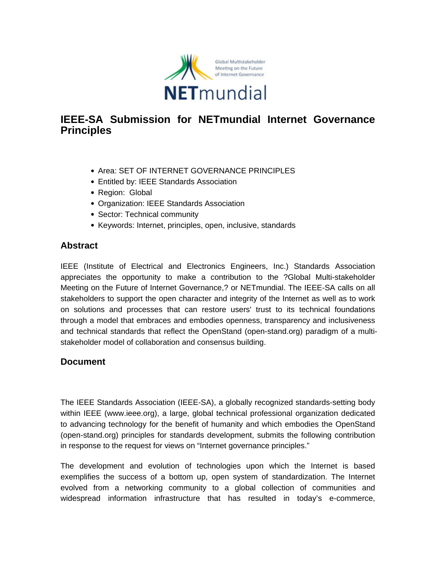

## **IEEE-SA Submission for NETmundial Internet Governance Principles**

- Area: SET OF INTERNET GOVERNANCE PRINCIPLES
- Entitled by: IEEE Standards Association
- Region: Global
- Organization: IEEE Standards Association
- Sector: Technical community
- Keywords: Internet, principles, open, inclusive, standards

## **Abstract**

IEEE (Institute of Electrical and Electronics Engineers, Inc.) Standards Association appreciates the opportunity to make a contribution to the ?Global Multi-stakeholder Meeting on the Future of Internet Governance,? or NETmundial. The IEEE-SA calls on all stakeholders to support the open character and integrity of the Internet as well as to work on solutions and processes that can restore users' trust to its technical foundations through a model that embraces and embodies openness, transparency and inclusiveness and technical standards that reflect the OpenStand (open-stand.org) paradigm of a multistakeholder model of collaboration and consensus building.

## **Document**

The IEEE Standards Association (IEEE-SA), a globally recognized standards-setting body within IEEE (www.ieee.org), a large, global technical professional organization dedicated to advancing technology for the benefit of humanity and which embodies the OpenStand (open-stand.org) principles for standards development, submits the following contribution in response to the request for views on "Internet governance principles."

The development and evolution of technologies upon which the Internet is based exemplifies the success of a bottom up, open system of standardization. The Internet evolved from a networking community to a global collection of communities and widespread information infrastructure that has resulted in today's e-commerce,